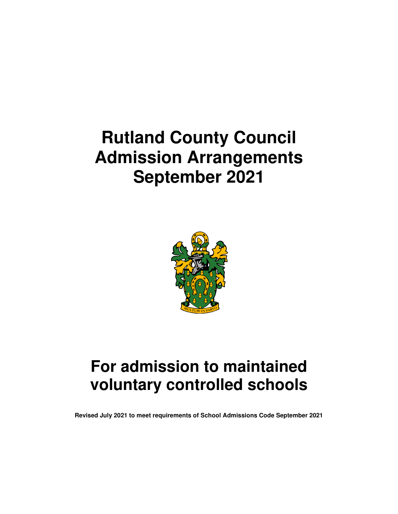# **Rutland County Council Admission Arrangements September 2021**



# **For admission to maintained voluntary controlled schools**

**Revised July 2021 to meet requirements of School Admissions Code September 2021**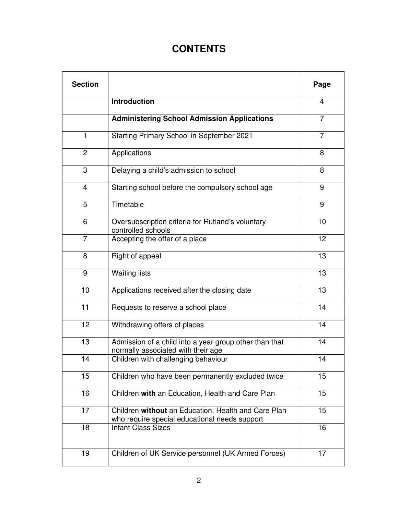## **CONTENTS**

| <b>Section</b> |                                                                                                      | Page           |
|----------------|------------------------------------------------------------------------------------------------------|----------------|
|                | <b>Introduction</b>                                                                                  | 4              |
|                | <b>Administering School Admission Applications</b>                                                   | $\overline{7}$ |
| $\mathbf{1}$   | Starting Primary School in September 2021                                                            | $\overline{7}$ |
| $\overline{2}$ | Applications                                                                                         | 8              |
| 3              | Delaying a child's admission to school                                                               | 8              |
| 4              | Starting school before the compulsory school age                                                     | 9              |
| 5              | Timetable                                                                                            | 9              |
| 6              | Oversubscription criteria for Rutland's voluntary<br>controlled schools                              | 10             |
| $\overline{7}$ | Accepting the offer of a place                                                                       | 12             |
| 8              | Right of appeal                                                                                      | 13             |
| 9              | <b>Waiting lists</b>                                                                                 | 13             |
| 10             | Applications received after the closing date                                                         | 13             |
| 11             | Requests to reserve a school place                                                                   | 14             |
| 12             | Withdrawing offers of places                                                                         | 14             |
| 13             | Admission of a child into a year group other than that<br>normally associated with their age         | 14             |
| 14             | Children with challenging behaviour                                                                  | 14             |
| 15             | Children who have been permanently excluded twice                                                    | 15             |
| 16             | Children with an Education, Health and Care Plan                                                     | 15             |
| 17             | Children without an Education, Health and Care Plan<br>who require special educational needs support | 15             |
| 18             | <b>Infant Class Sizes</b>                                                                            | 16             |
| 19             | Children of UK Service personnel (UK Armed Forces)                                                   | 17             |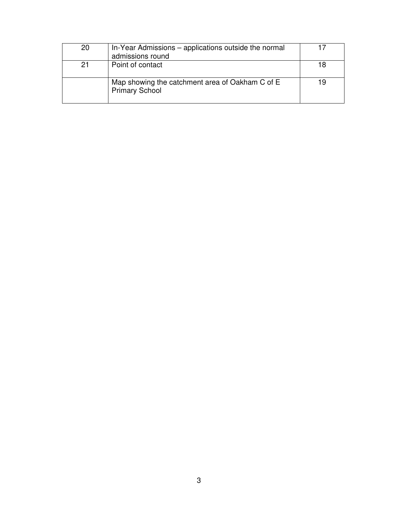| 20 | In-Year Admissions – applications outside the normal<br>admissions round |    |
|----|--------------------------------------------------------------------------|----|
| 21 | Point of contact                                                         | 18 |
|    | Map showing the catchment area of Oakham C of E<br><b>Primary School</b> | 19 |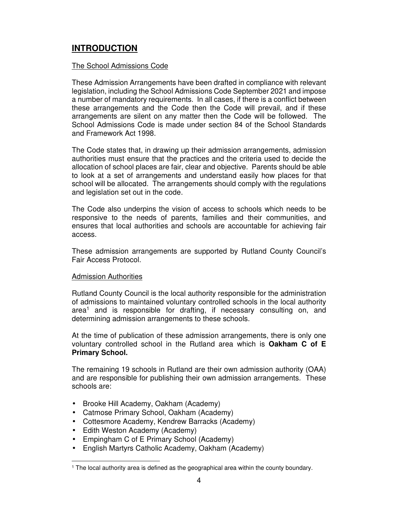### **INTRODUCTION**

#### The School Admissions Code

These Admission Arrangements have been drafted in compliance with relevant legislation, including the School Admissions Code September 2021 and impose a number of mandatory requirements. In all cases, if there is a conflict between these arrangements and the Code then the Code will prevail, and if these arrangements are silent on any matter then the Code will be followed. The School Admissions Code is made under section 84 of the School Standards and Framework Act 1998.

The Code states that, in drawing up their admission arrangements, admission authorities must ensure that the practices and the criteria used to decide the allocation of school places are fair, clear and objective. Parents should be able to look at a set of arrangements and understand easily how places for that school will be allocated. The arrangements should comply with the regulations and legislation set out in the code.

The Code also underpins the vision of access to schools which needs to be responsive to the needs of parents, families and their communities, and ensures that local authorities and schools are accountable for achieving fair access.

These admission arrangements are supported by Rutland County Council's Fair Access Protocol.

#### Admission Authorities

Rutland County Council is the local authority responsible for the administration of admissions to maintained voluntary controlled schools in the local authority area<sup>1</sup> and is responsible for drafting, if necessary consulting on, and determining admission arrangements to these schools.

At the time of publication of these admission arrangements, there is only one voluntary controlled school in the Rutland area which is **Oakham C of E Primary School.**

The remaining 19 schools in Rutland are their own admission authority (OAA) and are responsible for publishing their own admission arrangements. These schools are:

- Brooke Hill Academy, Oakham (Academy)
- Catmose Primary School, Oakham (Academy)
- Cottesmore Academy, Kendrew Barracks (Academy)
- Edith Weston Academy (Academy)
- Empingham C of E Primary School (Academy)
- English Martyrs Catholic Academy, Oakham (Academy)

<sup>1</sup> The local authority area is defined as the geographical area within the county boundary.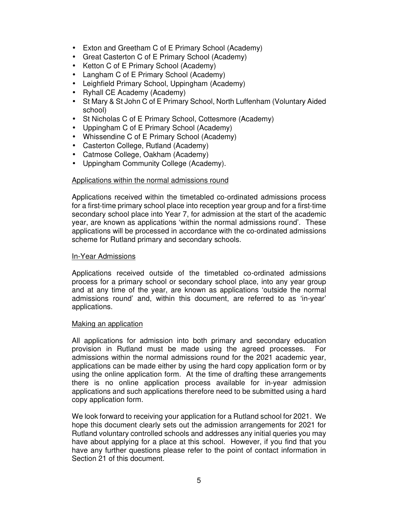- Exton and Greetham C of E Primary School (Academy)
- Great Casterton C of E Primary School (Academy)
- Ketton C of E Primary School (Academy)
- Langham C of E Primary School (Academy)
- Leighfield Primary School, Uppingham (Academy)
- Ryhall CE Academy (Academy)
- St Mary & St John C of E Primary School, North Luffenham (Voluntary Aided school)
- St Nicholas C of E Primary School, Cottesmore (Academy)
- Uppingham C of E Primary School (Academy)
- Whissendine C of E Primary School (Academy)
- Casterton College, Rutland (Academy)
- Catmose College, Oakham (Academy)
- Uppingham Community College (Academy).

#### Applications within the normal admissions round

Applications received within the timetabled co-ordinated admissions process for a first-time primary school place into reception year group and for a first-time secondary school place into Year 7, for admission at the start of the academic year, are known as applications 'within the normal admissions round'. These applications will be processed in accordance with the co-ordinated admissions scheme for Rutland primary and secondary schools.

#### In-Year Admissions

Applications received outside of the timetabled co-ordinated admissions process for a primary school or secondary school place, into any year group and at any time of the year, are known as applications 'outside the normal admissions round' and, within this document, are referred to as 'in-year' applications.

#### Making an application

All applications for admission into both primary and secondary education provision in Rutland must be made using the agreed processes. For admissions within the normal admissions round for the 2021 academic year, applications can be made either by using the hard copy application form or by using the online application form. At the time of drafting these arrangements there is no online application process available for in-year admission applications and such applications therefore need to be submitted using a hard copy application form.

We look forward to receiving your application for a Rutland school for 2021. We hope this document clearly sets out the admission arrangements for 2021 for Rutland voluntary controlled schools and addresses any initial queries you may have about applying for a place at this school. However, if you find that you have any further questions please refer to the point of contact information in Section 21 of this document.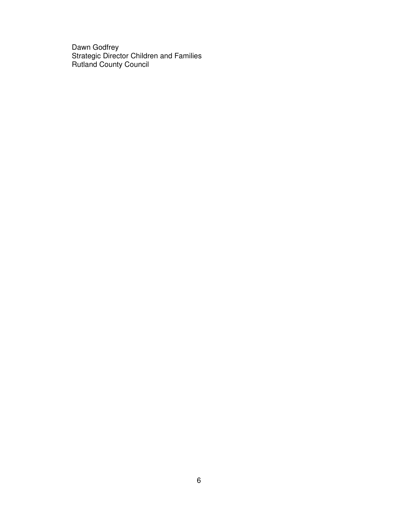Dawn Godfrey Strategic Director Children and Families Rutland County Council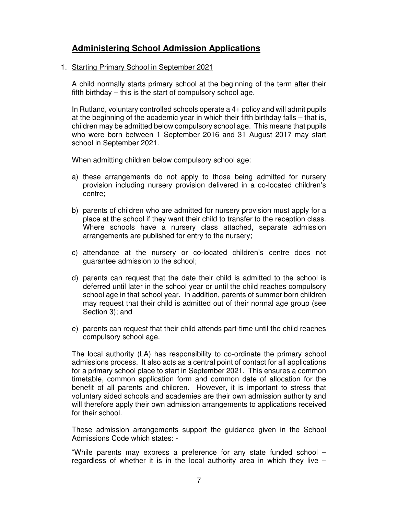### **Administering School Admission Applications**

#### 1. Starting Primary School in September 2021

A child normally starts primary school at the beginning of the term after their fifth birthday – this is the start of compulsory school age.

In Rutland, voluntary controlled schools operate a 4+ policy and will admit pupils at the beginning of the academic year in which their fifth birthday falls – that is, children may be admitted below compulsory school age. This means that pupils who were born between 1 September 2016 and 31 August 2017 may start school in September 2021.

When admitting children below compulsory school age:

- a) these arrangements do not apply to those being admitted for nursery provision including nursery provision delivered in a co-located children's centre;
- b) parents of children who are admitted for nursery provision must apply for a place at the school if they want their child to transfer to the reception class. Where schools have a nursery class attached, separate admission arrangements are published for entry to the nursery;
- c) attendance at the nursery or co-located children's centre does not guarantee admission to the school;
- d) parents can request that the date their child is admitted to the school is deferred until later in the school year or until the child reaches compulsory school age in that school year. In addition, parents of summer born children may request that their child is admitted out of their normal age group (see Section 3); and
- e) parents can request that their child attends part-time until the child reaches compulsory school age.

The local authority (LA) has responsibility to co-ordinate the primary school admissions process. It also acts as a central point of contact for all applications for a primary school place to start in September 2021. This ensures a common timetable, common application form and common date of allocation for the benefit of all parents and children. However, it is important to stress that voluntary aided schools and academies are their own admission authority and will therefore apply their own admission arrangements to applications received for their school.

These admission arrangements support the guidance given in the School Admissions Code which states: -

"While parents may express a preference for any state funded school – regardless of whether it is in the local authority area in which they live  $-$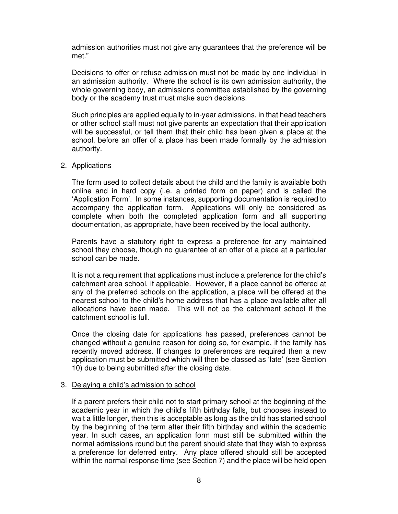admission authorities must not give any guarantees that the preference will be met."

Decisions to offer or refuse admission must not be made by one individual in an admission authority. Where the school is its own admission authority, the whole governing body, an admissions committee established by the governing body or the academy trust must make such decisions.

Such principles are applied equally to in-year admissions, in that head teachers or other school staff must not give parents an expectation that their application will be successful, or tell them that their child has been given a place at the school, before an offer of a place has been made formally by the admission authority.

#### 2. Applications

The form used to collect details about the child and the family is available both online and in hard copy (i.e. a printed form on paper) and is called the 'Application Form'. In some instances, supporting documentation is required to accompany the application form. Applications will only be considered as complete when both the completed application form and all supporting documentation, as appropriate, have been received by the local authority.

Parents have a statutory right to express a preference for any maintained school they choose, though no guarantee of an offer of a place at a particular school can be made.

It is not a requirement that applications must include a preference for the child's catchment area school, if applicable. However, if a place cannot be offered at any of the preferred schools on the application, a place will be offered at the nearest school to the child's home address that has a place available after all allocations have been made. This will not be the catchment school if the catchment school is full.

Once the closing date for applications has passed, preferences cannot be changed without a genuine reason for doing so, for example, if the family has recently moved address. If changes to preferences are required then a new application must be submitted which will then be classed as 'late' (see Section 10) due to being submitted after the closing date.

#### 3. Delaying a child's admission to school

If a parent prefers their child not to start primary school at the beginning of the academic year in which the child's fifth birthday falls, but chooses instead to wait a little longer, then this is acceptable as long as the child has started school by the beginning of the term after their fifth birthday and within the academic year. In such cases, an application form must still be submitted within the normal admissions round but the parent should state that they wish to express a preference for deferred entry. Any place offered should still be accepted within the normal response time (see Section 7) and the place will be held open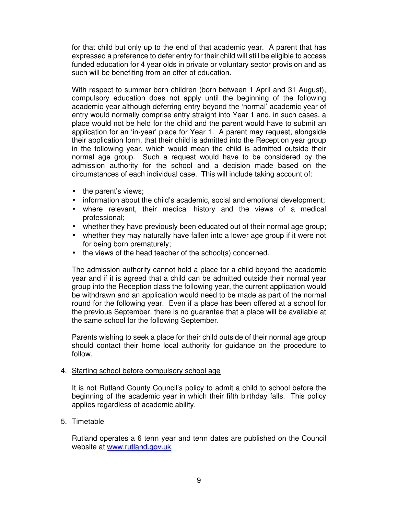for that child but only up to the end of that academic year. A parent that has expressed a preference to defer entry for their child will still be eligible to access funded education for 4 year olds in private or voluntary sector provision and as such will be benefiting from an offer of education.

With respect to summer born children (born between 1 April and 31 August), compulsory education does not apply until the beginning of the following academic year although deferring entry beyond the 'normal' academic year of entry would normally comprise entry straight into Year 1 and, in such cases, a place would not be held for the child and the parent would have to submit an application for an 'in-year' place for Year 1. A parent may request, alongside their application form, that their child is admitted into the Reception year group in the following year, which would mean the child is admitted outside their normal age group. Such a request would have to be considered by the admission authority for the school and a decision made based on the circumstances of each individual case. This will include taking account of:

- the parent's views;
- information about the child's academic, social and emotional development;
- where relevant, their medical history and the views of a medical professional;
- whether they have previously been educated out of their normal age group;
- whether they may naturally have fallen into a lower age group if it were not for being born prematurely;
- the views of the head teacher of the school(s) concerned.

The admission authority cannot hold a place for a child beyond the academic year and if it is agreed that a child can be admitted outside their normal year group into the Reception class the following year, the current application would be withdrawn and an application would need to be made as part of the normal round for the following year. Even if a place has been offered at a school for the previous September, there is no guarantee that a place will be available at the same school for the following September.

Parents wishing to seek a place for their child outside of their normal age group should contact their home local authority for guidance on the procedure to follow.

#### 4. Starting school before compulsory school age

It is not Rutland County Council's policy to admit a child to school before the beginning of the academic year in which their fifth birthday falls. This policy applies regardless of academic ability.

#### 5. Timetable

Rutland operates a 6 term year and term dates are published on the Council website at www.rutland.gov.uk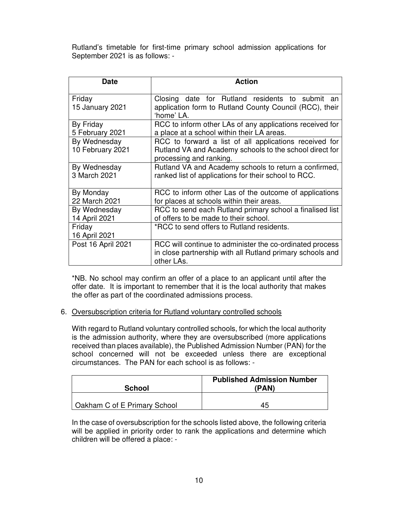Rutland's timetable for first-time primary school admission applications for September 2021 is as follows: -

| Date                             | <b>Action</b>                                                                                                                                |
|----------------------------------|----------------------------------------------------------------------------------------------------------------------------------------------|
| Friday<br>15 January 2021        | Closing date for Rutland residents to submit an<br>application form to Rutland County Council (RCC), their<br>'home' LA.                     |
| By Friday<br>5 February 2021     | RCC to inform other LAs of any applications received for<br>a place at a school within their LA areas.                                       |
| By Wednesday<br>10 February 2021 | RCC to forward a list of all applications received for<br>Rutland VA and Academy schools to the school direct for<br>processing and ranking. |
| By Wednesday<br>3 March 2021     | Rutland VA and Academy schools to return a confirmed,<br>ranked list of applications for their school to RCC.                                |
| By Monday<br>22 March 2021       | RCC to inform other Las of the outcome of applications<br>for places at schools within their areas.                                          |
| By Wednesday<br>14 April 2021    | RCC to send each Rutland primary school a finalised list<br>of offers to be made to their school.                                            |
| Friday<br>16 April 2021          | *RCC to send offers to Rutland residents.                                                                                                    |
| Post 16 April 2021               | RCC will continue to administer the co-ordinated process<br>in close partnership with all Rutland primary schools and<br>other LAs.          |

\*NB. No school may confirm an offer of a place to an applicant until after the offer date. It is important to remember that it is the local authority that makes the offer as part of the coordinated admissions process.

#### 6. Oversubscription criteria for Rutland voluntary controlled schools

With regard to Rutland voluntary controlled schools, for which the local authority is the admission authority, where they are oversubscribed (more applications received than places available), the Published Admission Number (PAN) for the school concerned will not be exceeded unless there are exceptional circumstances. The PAN for each school is as follows: -

| <b>School</b>                | <b>Published Admission Number</b><br>(PAN) |
|------------------------------|--------------------------------------------|
| Oakham C of E Primary School | 45                                         |

In the case of oversubscription for the schools listed above, the following criteria will be applied in priority order to rank the applications and determine which children will be offered a place: -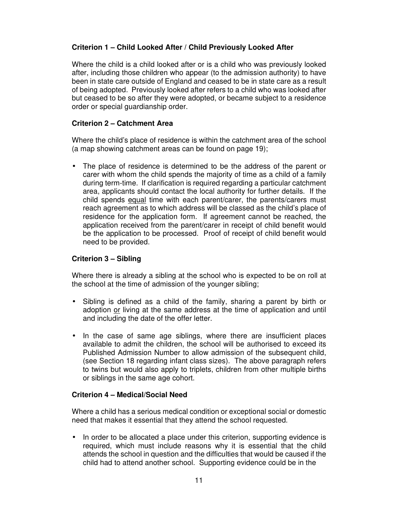#### **Criterion 1 – Child Looked After / Child Previously Looked After**

Where the child is a child looked after or is a child who was previously looked after, including those children who appear (to the admission authority) to have been in state care outside of England and ceased to be in state care as a result of being adopted. Previously looked after refers to a child who was looked after but ceased to be so after they were adopted, or became subject to a residence order or special guardianship order.

#### **Criterion 2 – Catchment Area**

Where the child's place of residence is within the catchment area of the school (a map showing catchment areas can be found on page 19);

• The place of residence is determined to be the address of the parent or carer with whom the child spends the majority of time as a child of a family during term-time. If clarification is required regarding a particular catchment area, applicants should contact the local authority for further details. If the child spends equal time with each parent/carer, the parents/carers must reach agreement as to which address will be classed as the child's place of residence for the application form. If agreement cannot be reached, the application received from the parent/carer in receipt of child benefit would be the application to be processed. Proof of receipt of child benefit would need to be provided.

#### **Criterion 3 – Sibling**

Where there is already a sibling at the school who is expected to be on roll at the school at the time of admission of the younger sibling;

- Sibling is defined as a child of the family, sharing a parent by birth or adoption or living at the same address at the time of application and until and including the date of the offer letter.
- In the case of same age siblings, where there are insufficient places available to admit the children, the school will be authorised to exceed its Published Admission Number to allow admission of the subsequent child, (see Section 18 regarding infant class sizes). The above paragraph refers to twins but would also apply to triplets, children from other multiple births or siblings in the same age cohort.

#### **Criterion 4 – Medical/Social Need**

Where a child has a serious medical condition or exceptional social or domestic need that makes it essential that they attend the school requested.

• In order to be allocated a place under this criterion, supporting evidence is required, which must include reasons why it is essential that the child attends the school in question and the difficulties that would be caused if the child had to attend another school. Supporting evidence could be in the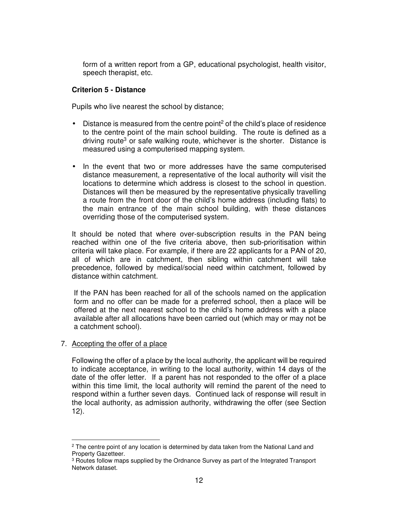form of a written report from a GP, educational psychologist, health visitor, speech therapist, etc.

#### **Criterion 5 - Distance**

Pupils who live nearest the school by distance;

- $\bullet$  Distance is measured from the centre point<sup>2</sup> of the child's place of residence to the centre point of the main school building. The route is defined as a driving route<sup>3</sup> or safe walking route, whichever is the shorter. Distance is measured using a computerised mapping system.
- In the event that two or more addresses have the same computerised distance measurement, a representative of the local authority will visit the locations to determine which address is closest to the school in question. Distances will then be measured by the representative physically travelling a route from the front door of the child's home address (including flats) to the main entrance of the main school building, with these distances overriding those of the computerised system.

It should be noted that where over-subscription results in the PAN being reached within one of the five criteria above, then sub-prioritisation within criteria will take place. For example, if there are 22 applicants for a PAN of 20, all of which are in catchment, then sibling within catchment will take precedence, followed by medical/social need within catchment, followed by distance within catchment.

If the PAN has been reached for all of the schools named on the application form and no offer can be made for a preferred school, then a place will be offered at the next nearest school to the child's home address with a place available after all allocations have been carried out (which may or may not be a catchment school).

#### 7. Accepting the offer of a place

Following the offer of a place by the local authority, the applicant will be required to indicate acceptance, in writing to the local authority, within 14 days of the date of the offer letter. If a parent has not responded to the offer of a place within this time limit, the local authority will remind the parent of the need to respond within a further seven days. Continued lack of response will result in the local authority, as admission authority, withdrawing the offer (see Section 12).

<sup>2</sup> The centre point of any location is determined by data taken from the National Land and Property Gazetteer.

<sup>&</sup>lt;sup>3</sup> Routes follow maps supplied by the Ordnance Survey as part of the Integrated Transport Network dataset.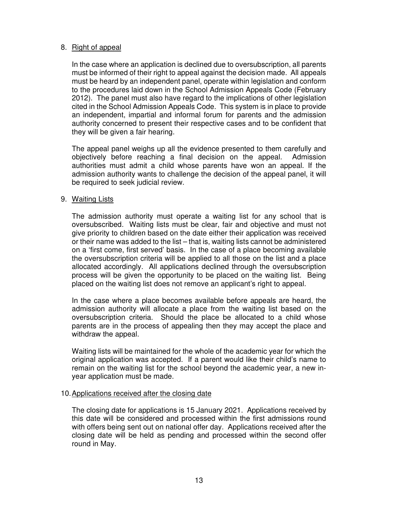#### 8. Right of appeal

In the case where an application is declined due to oversubscription, all parents must be informed of their right to appeal against the decision made. All appeals must be heard by an independent panel, operate within legislation and conform to the procedures laid down in the School Admission Appeals Code (February 2012). The panel must also have regard to the implications of other legislation cited in the School Admission Appeals Code. This system is in place to provide an independent, impartial and informal forum for parents and the admission authority concerned to present their respective cases and to be confident that they will be given a fair hearing.

The appeal panel weighs up all the evidence presented to them carefully and objectively before reaching a final decision on the appeal. Admission authorities must admit a child whose parents have won an appeal. If the admission authority wants to challenge the decision of the appeal panel, it will be required to seek judicial review.

#### 9. Waiting Lists

The admission authority must operate a waiting list for any school that is oversubscribed. Waiting lists must be clear, fair and objective and must not give priority to children based on the date either their application was received or their name was added to the list – that is, waiting lists cannot be administered on a 'first come, first served' basis. In the case of a place becoming available the oversubscription criteria will be applied to all those on the list and a place allocated accordingly. All applications declined through the oversubscription process will be given the opportunity to be placed on the waiting list. Being placed on the waiting list does not remove an applicant's right to appeal.

In the case where a place becomes available before appeals are heard, the admission authority will allocate a place from the waiting list based on the oversubscription criteria. Should the place be allocated to a child whose parents are in the process of appealing then they may accept the place and withdraw the appeal.

Waiting lists will be maintained for the whole of the academic year for which the original application was accepted. If a parent would like their child's name to remain on the waiting list for the school beyond the academic year, a new inyear application must be made.

#### 10. Applications received after the closing date

The closing date for applications is 15 January 2021. Applications received by this date will be considered and processed within the first admissions round with offers being sent out on national offer day. Applications received after the closing date will be held as pending and processed within the second offer round in May.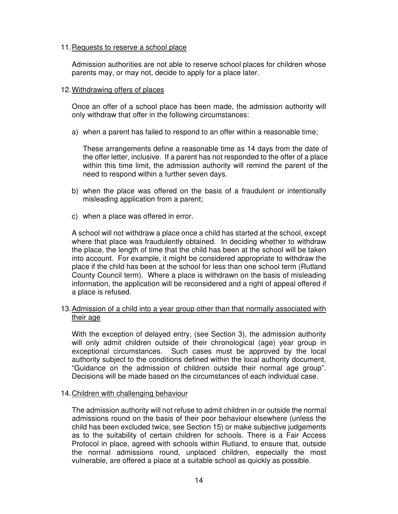#### 11. Requests to reserve a school place

Admission authorities are not able to reserve school places for children whose parents may, or may not, decide to apply for a place later.

#### 12. Withdrawing offers of places

Once an offer of a school place has been made, the admission authority will only withdraw that offer in the following circumstances:

a) when a parent has failed to respond to an offer within a reasonable time;

These arrangements define a reasonable time as 14 days from the date of the offer letter, inclusive. If a parent has not responded to the offer of a place within this time limit, the admission authority will remind the parent of the need to respond within a further seven days.

- b) when the place was offered on the basis of a fraudulent or intentionally misleading application from a parent;
- c) when a place was offered in error.

A school will not withdraw a place once a child has started at the school, except where that place was fraudulently obtained. In deciding whether to withdraw the place, the length of time that the child has been at the school will be taken into account. For example, it might be considered appropriate to withdraw the place if the child has been at the school for less than one school term (Rutland County Council term). Where a place is withdrawn on the basis of misleading information, the application will be reconsidered and a right of appeal offered if a place is refused.

#### 13. Admission of a child into a year group other than that normally associated with their age

With the exception of delayed entry, (see Section 3), the admission authority will only admit children outside of their chronological (age) year group in exceptional circumstances. Such cases must be approved by the local authority subject to the conditions defined within the local authority document, "Guidance on the admission of children outside their normal age group". Decisions will be made based on the circumstances of each individual case.

#### 14. Children with challenging behaviour

The admission authority will not refuse to admit children in or outside the normal admissions round on the basis of their poor behaviour elsewhere (unless the child has been excluded twice, see Section 15) or make subjective judgements as to the suitability of certain children for schools. There is a Fair Access Protocol in place, agreed with schools within Rutland, to ensure that, outside the normal admissions round, unplaced children, especially the most vulnerable, are offered a place at a suitable school as quickly as possible.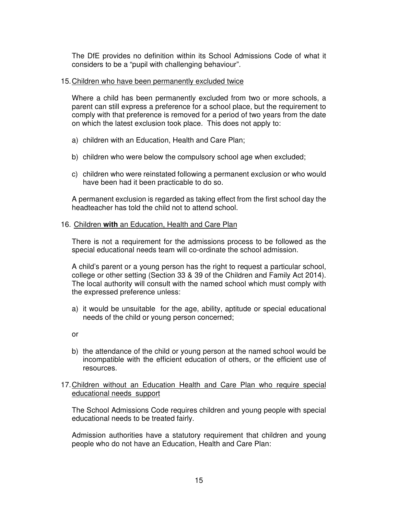The DfE provides no definition within its School Admissions Code of what it considers to be a "pupil with challenging behaviour".

#### 15. Children who have been permanently excluded twice

Where a child has been permanently excluded from two or more schools, a parent can still express a preference for a school place, but the requirement to comply with that preference is removed for a period of two years from the date on which the latest exclusion took place. This does not apply to:

- a) children with an Education, Health and Care Plan;
- b) children who were below the compulsory school age when excluded;
- c) children who were reinstated following a permanent exclusion or who would have been had it been practicable to do so.

A permanent exclusion is regarded as taking effect from the first school day the headteacher has told the child not to attend school.

#### 16. Children **with** an Education, Health and Care Plan

There is not a requirement for the admissions process to be followed as the special educational needs team will co-ordinate the school admission.

A child's parent or a young person has the right to request a particular school, college or other setting (Section 33 & 39 of the Children and Family Act 2014). The local authority will consult with the named school which must comply with the expressed preference unless:

- a) it would be unsuitable for the age, ability, aptitude or special educational needs of the child or young person concerned;
- or
- b) the attendance of the child or young person at the named school would be incompatible with the efficient education of others, or the efficient use of resources.
- 17. Children without an Education Health and Care Plan who require special educational needs support

The School Admissions Code requires children and young people with special educational needs to be treated fairly.

Admission authorities have a statutory requirement that children and young people who do not have an Education, Health and Care Plan: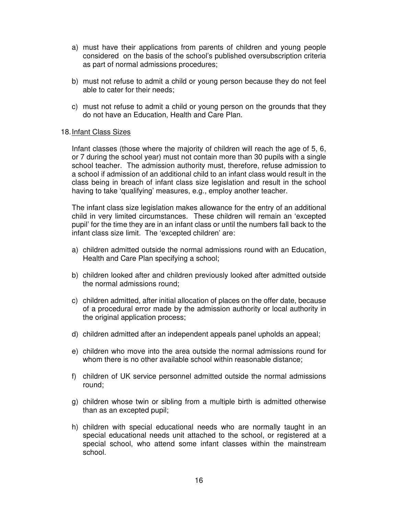- a) must have their applications from parents of children and young people considered on the basis of the school's published oversubscription criteria as part of normal admissions procedures;
- b) must not refuse to admit a child or young person because they do not feel able to cater for their needs;
- c) must not refuse to admit a child or young person on the grounds that they do not have an Education, Health and Care Plan.

#### 18. Infant Class Sizes

Infant classes (those where the majority of children will reach the age of 5, 6, or 7 during the school year) must not contain more than 30 pupils with a single school teacher. The admission authority must, therefore, refuse admission to a school if admission of an additional child to an infant class would result in the class being in breach of infant class size legislation and result in the school having to take 'qualifying' measures, e.g., employ another teacher.

The infant class size legislation makes allowance for the entry of an additional child in very limited circumstances. These children will remain an 'excepted pupil' for the time they are in an infant class or until the numbers fall back to the infant class size limit. The 'excepted children' are:

- a) children admitted outside the normal admissions round with an Education, Health and Care Plan specifying a school;
- b) children looked after and children previously looked after admitted outside the normal admissions round;
- c) children admitted, after initial allocation of places on the offer date, because of a procedural error made by the admission authority or local authority in the original application process;
- d) children admitted after an independent appeals panel upholds an appeal;
- e) children who move into the area outside the normal admissions round for whom there is no other available school within reasonable distance;
- f) children of UK service personnel admitted outside the normal admissions round;
- g) children whose twin or sibling from a multiple birth is admitted otherwise than as an excepted pupil;
- h) children with special educational needs who are normally taught in an special educational needs unit attached to the school, or registered at a special school, who attend some infant classes within the mainstream school.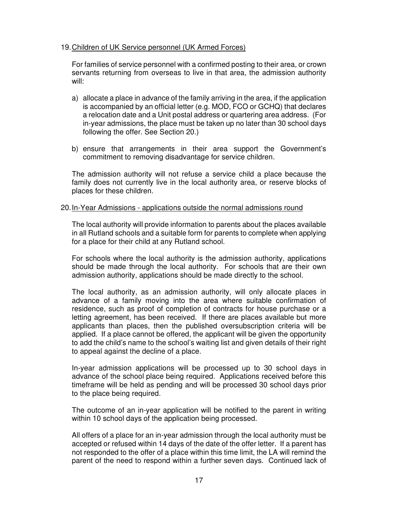#### 19. Children of UK Service personnel (UK Armed Forces)

For families of service personnel with a confirmed posting to their area, or crown servants returning from overseas to live in that area, the admission authority will:

- a) allocate a place in advance of the family arriving in the area, if the application is accompanied by an official letter (e.g. MOD, FCO or GCHQ) that declares a relocation date and a Unit postal address or quartering area address. (For in-year admissions, the place must be taken up no later than 30 school days following the offer. See Section 20.)
- b) ensure that arrangements in their area support the Government's commitment to removing disadvantage for service children.

The admission authority will not refuse a service child a place because the family does not currently live in the local authority area, or reserve blocks of places for these children.

#### 20. In-Year Admissions - applications outside the normal admissions round

The local authority will provide information to parents about the places available in all Rutland schools and a suitable form for parents to complete when applying for a place for their child at any Rutland school.

For schools where the local authority is the admission authority, applications should be made through the local authority. For schools that are their own admission authority, applications should be made directly to the school.

The local authority, as an admission authority, will only allocate places in advance of a family moving into the area where suitable confirmation of residence, such as proof of completion of contracts for house purchase or a letting agreement, has been received. If there are places available but more applicants than places, then the published oversubscription criteria will be applied. If a place cannot be offered, the applicant will be given the opportunity to add the child's name to the school's waiting list and given details of their right to appeal against the decline of a place.

In-year admission applications will be processed up to 30 school days in advance of the school place being required. Applications received before this timeframe will be held as pending and will be processed 30 school days prior to the place being required.

The outcome of an in-year application will be notified to the parent in writing within 10 school days of the application being processed.

All offers of a place for an in-year admission through the local authority must be accepted or refused within 14 days of the date of the offer letter. If a parent has not responded to the offer of a place within this time limit, the LA will remind the parent of the need to respond within a further seven days. Continued lack of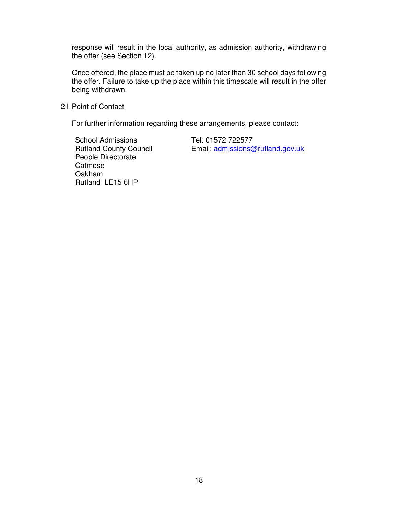response will result in the local authority, as admission authority, withdrawing the offer (see Section 12).

Once offered, the place must be taken up no later than 30 school days following the offer. Failure to take up the place within this timescale will result in the offer being withdrawn.

#### 21. Point of Contact

For further information regarding these arrangements, please contact:

School Admissions Rutland County Council People Directorate **Catmose** Oakham Rutland LE15 6HP

Tel: 01572 722577 Email: admissions@rutland.gov.uk